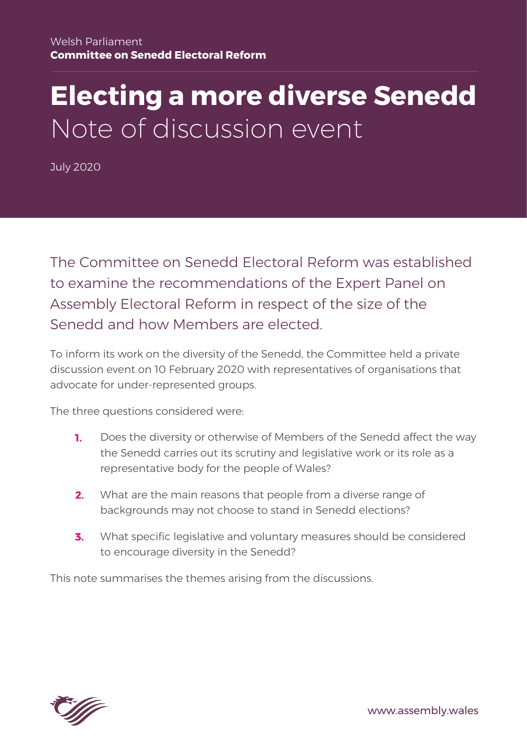# **Electing a more diverse Senedd** Note of discussion event

July 2020

The Committee on Senedd Electoral Reform was established to examine the recommendations of the Expert Panel on Assembly Electoral Reform in respect of the size of the Senedd and how Members are elected.

To inform its work on the diversity of the Senedd, the Committee held a private discussion event on 10 February 2020 with representatives of organisations that advocate for under-represented groups.

The three questions considered were:

- 1. Does the diversity or otherwise of Members of the Senedd affect the way the Senedd carries out its scrutiny and legislative work or its role as a representative body for the people of Wales?
- What are the main reasons that people from a diverse range of  $2.$ backgrounds may not choose to stand in Senedd elections?
- What specific legislative and voluntary measures should be considered 3. to encourage diversity in the Senedd?

This note summarises the themes arising from the discussions.

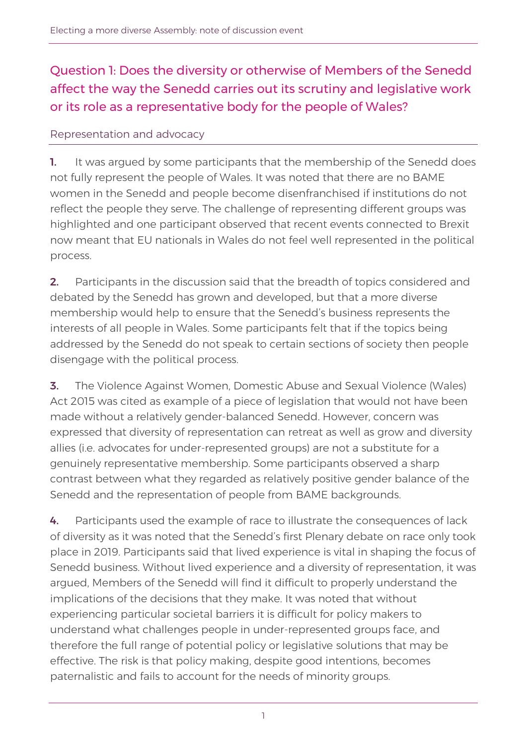# Question 1: Does the diversity or otherwise of Members of the Senedd affect the way the Senedd carries out its scrutiny and legislative work or its role as a representative body for the people of Wales?

## Representation and advocacy

1. It was argued by some participants that the membership of the Senedd does not fully represent the people of Wales. It was noted that there are no BAME women in the Senedd and people become disenfranchised if institutions do not reflect the people they serve. The challenge of representing different groups was highlighted and one participant observed that recent events connected to Brexit now meant that EU nationals in Wales do not feel well represented in the political process.

2. Participants in the discussion said that the breadth of topics considered and debated by the Senedd has grown and developed, but that a more diverse membership would help to ensure that the Senedd's business represents the interests of all people in Wales. Some participants felt that if the topics being addressed by the Senedd do not speak to certain sections of society then people disengage with the political process.

**3.** The Violence Against Women, Domestic Abuse and Sexual Violence (Wales) Act 2015 was cited as example of a piece of legislation that would not have been made without a relatively gender-balanced Senedd. However, concern was expressed that diversity of representation can retreat as well as grow and diversity allies (i.e. advocates for under-represented groups) are not a substitute for a genuinely representative membership. Some participants observed a sharp contrast between what they regarded as relatively positive gender balance of the Senedd and the representation of people from BAME backgrounds.

4. Participants used the example of race to illustrate the consequences of lack of diversity as it was noted that the Senedd's first Plenary debate on race only took place in 2019. Participants said that lived experience is vital in shaping the focus of Senedd business. Without lived experience and a diversity of representation, it was argued, Members of the Senedd will find it difficult to properly understand the implications of the decisions that they make. It was noted that without experiencing particular societal barriers it is difficult for policy makers to understand what challenges people in under-represented groups face, and therefore the full range of potential policy or legislative solutions that may be effective. The risk is that policy making, despite good intentions, becomes paternalistic and fails to account for the needs of minority groups.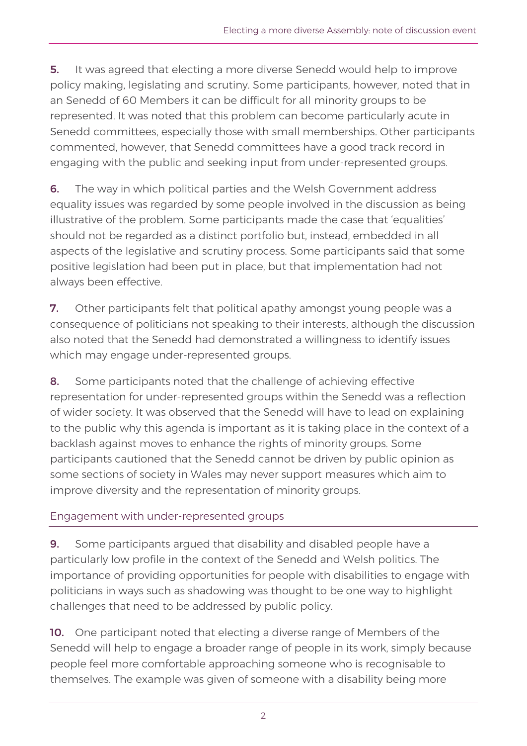**5.** It was agreed that electing a more diverse Senedd would help to improve policy making, legislating and scrutiny. Some participants, however, noted that in an Senedd of 60 Members it can be difficult for all minority groups to be represented. It was noted that this problem can become particularly acute in Senedd committees, especially those with small memberships. Other participants commented, however, that Senedd committees have a good track record in engaging with the public and seeking input from under-represented groups.

**6.** The way in which political parties and the Welsh Government address equality issues was regarded by some people involved in the discussion as being illustrative of the problem. Some participants made the case that 'equalities' should not be regarded as a distinct portfolio but, instead, embedded in all aspects of the legislative and scrutiny process. Some participants said that some positive legislation had been put in place, but that implementation had not always been effective.

7. Other participants felt that political apathy amongst young people was a consequence of politicians not speaking to their interests, although the discussion also noted that the Senedd had demonstrated a willingness to identify issues which may engage under-represented groups.

8. Some participants noted that the challenge of achieving effective representation for under-represented groups within the Senedd was a reflection of wider society. It was observed that the Senedd will have to lead on explaining to the public why this agenda is important as it is taking place in the context of a backlash against moves to enhance the rights of minority groups. Some participants cautioned that the Senedd cannot be driven by public opinion as some sections of society in Wales may never support measures which aim to improve diversity and the representation of minority groups.

#### Engagement with under-represented groups

**9.** Some participants argued that disability and disabled people have a particularly low profile in the context of the Senedd and Welsh politics. The importance of providing opportunities for people with disabilities to engage with politicians in ways such as shadowing was thought to be one way to highlight challenges that need to be addressed by public policy.

**10.** One participant noted that electing a diverse range of Members of the Senedd will help to engage a broader range of people in its work, simply because people feel more comfortable approaching someone who is recognisable to themselves. The example was given of someone with a disability being more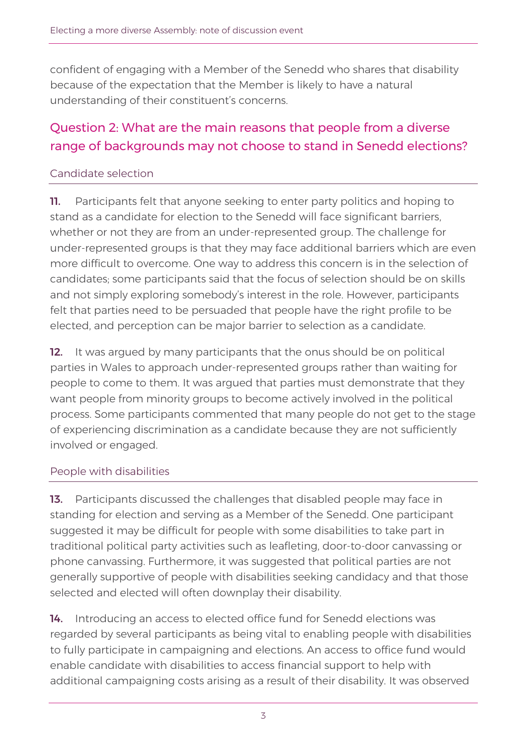confident of engaging with a Member of the Senedd who shares that disability because of the expectation that the Member is likely to have a natural understanding of their constituent's concerns.

# Question 2: What are the main reasons that people from a diverse range of backgrounds may not choose to stand in Senedd elections?

#### Candidate selection

11. Participants felt that anyone seeking to enter party politics and hoping to stand as a candidate for election to the Senedd will face significant barriers, whether or not they are from an under-represented group. The challenge for under-represented groups is that they may face additional barriers which are even more difficult to overcome. One way to address this concern is in the selection of candidates; some participants said that the focus of selection should be on skills and not simply exploring somebody's interest in the role. However, participants felt that parties need to be persuaded that people have the right profile to be elected, and perception can be major barrier to selection as a candidate.

**12.** It was argued by many participants that the onus should be on political parties in Wales to approach under-represented groups rather than waiting for people to come to them. It was argued that parties must demonstrate that they want people from minority groups to become actively involved in the political process. Some participants commented that many people do not get to the stage of experiencing discrimination as a candidate because they are not sufficiently involved or engaged.

#### People with disabilities

13. Participants discussed the challenges that disabled people may face in standing for election and serving as a Member of the Senedd. One participant suggested it may be difficult for people with some disabilities to take part in traditional political party activities such as leafleting, door-to-door canvassing or phone canvassing. Furthermore, it was suggested that political parties are not generally supportive of people with disabilities seeking candidacy and that those selected and elected will often downplay their disability.

14. Introducing an access to elected office fund for Senedd elections was regarded by several participants as being vital to enabling people with disabilities to fully participate in campaigning and elections. An access to office fund would enable candidate with disabilities to access financial support to help with additional campaigning costs arising as a result of their disability. It was observed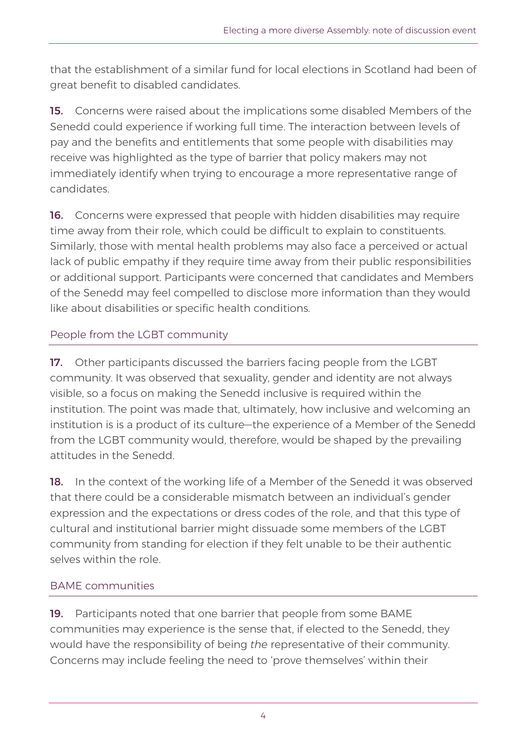that the establishment of a similar fund for local elections in Scotland had been of great benefit to disabled candidates.

15. Concerns were raised about the implications some disabled Members of the Senedd could experience if working full time. The interaction between levels of pay and the benefits and entitlements that some people with disabilities may receive was highlighted as the type of barrier that policy makers may not immediately identify when trying to encourage a more representative range of candidates.

16. Concerns were expressed that people with hidden disabilities may require time away from their role, which could be difficult to explain to constituents. Similarly, those with mental health problems may also face a perceived or actual lack of public empathy if they require time away from their public responsibilities or additional support. Participants were concerned that candidates and Members of the Senedd may feel compelled to disclose more information than they would like about disabilities or specific health conditions.

## People from the LGBT community

17. Other participants discussed the barriers facing people from the LGBT community. It was observed that sexuality, gender and identity are not always visible, so a focus on making the Senedd inclusive is required within the institution. The point was made that, ultimately, how inclusive and welcoming an institution is is a product of its culture—the experience of a Member of the Senedd from the LGBT community would, therefore, would be shaped by the prevailing attitudes in the Senedd.

**18.** In the context of the working life of a Member of the Senedd it was observed that there could be a considerable mismatch between an individual's gender expression and the expectations or dress codes of the role, and that this type of cultural and institutional barrier might dissuade some members of the LGBT community from standing for election if they felt unable to be their authentic selves within the role.

#### BAME communities

19. Participants noted that one barrier that people from some BAME communities may experience is the sense that, if elected to the Senedd, they would have the responsibility of being *the* representative of their community. Concerns may include feeling the need to 'prove themselves' within their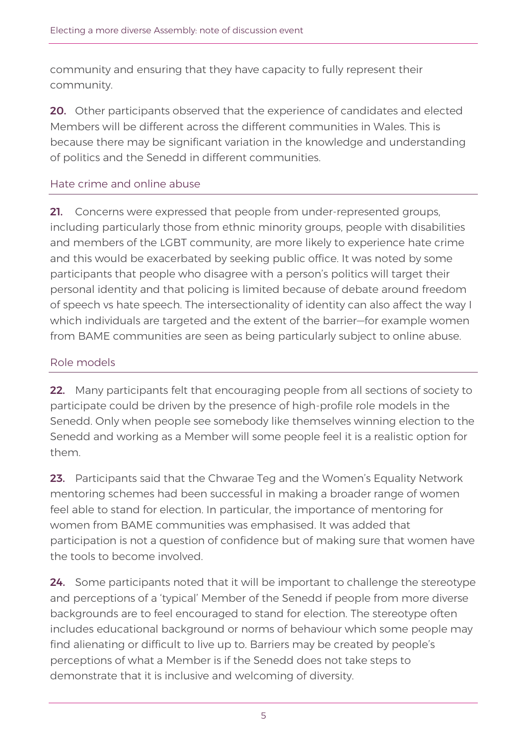community and ensuring that they have capacity to fully represent their community.

20. Other participants observed that the experience of candidates and elected Members will be different across the different communities in Wales. This is because there may be significant variation in the knowledge and understanding of politics and the Senedd in different communities.

#### Hate crime and online abuse

21. Concerns were expressed that people from under-represented groups, including particularly those from ethnic minority groups, people with disabilities and members of the LGBT community, are more likely to experience hate crime and this would be exacerbated by seeking public office. It was noted by some participants that people who disagree with a person's politics will target their personal identity and that policing is limited because of debate around freedom of speech vs hate speech. The intersectionality of identity can also affect the way I which individuals are targeted and the extent of the barrier—for example women from BAME communities are seen as being particularly subject to online abuse.

#### Role models

22. Many participants felt that encouraging people from all sections of society to participate could be driven by the presence of high-profile role models in the Senedd. Only when people see somebody like themselves winning election to the Senedd and working as a Member will some people feel it is a realistic option for them.

23. Participants said that the Chwarae Teg and the Women's Equality Network mentoring schemes had been successful in making a broader range of women feel able to stand for election. In particular, the importance of mentoring for women from BAME communities was emphasised. It was added that participation is not a question of confidence but of making sure that women have the tools to become involved.

24. Some participants noted that it will be important to challenge the stereotype and perceptions of a 'typical' Member of the Senedd if people from more diverse backgrounds are to feel encouraged to stand for election. The stereotype often includes educational background or norms of behaviour which some people may find alienating or difficult to live up to. Barriers may be created by people's perceptions of what a Member is if the Senedd does not take steps to demonstrate that it is inclusive and welcoming of diversity.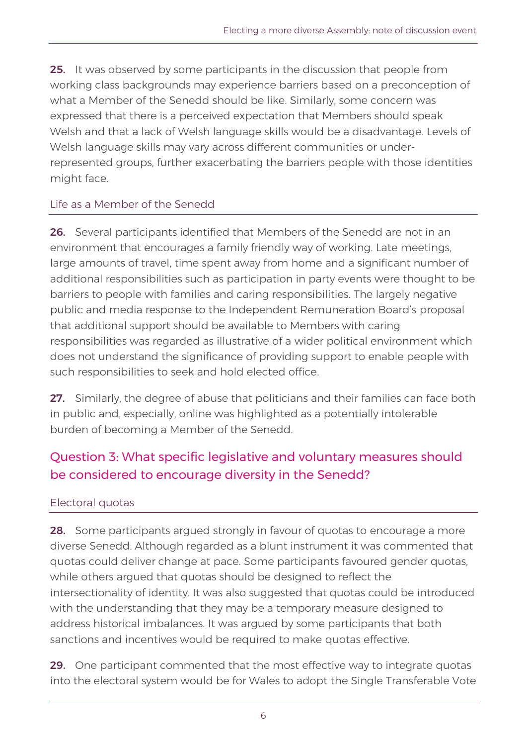**25.** It was observed by some participants in the discussion that people from working class backgrounds may experience barriers based on a preconception of what a Member of the Senedd should be like. Similarly, some concern was expressed that there is a perceived expectation that Members should speak Welsh and that a lack of Welsh language skills would be a disadvantage. Levels of Welsh language skills may vary across different communities or underrepresented groups, further exacerbating the barriers people with those identities might face.

#### Life as a Member of the Senedd

26. Several participants identified that Members of the Senedd are not in an environment that encourages a family friendly way of working. Late meetings, large amounts of travel, time spent away from home and a significant number of additional responsibilities such as participation in party events were thought to be barriers to people with families and caring responsibilities. The largely negative public and media response to the Independent Remuneration Board's proposal that additional support should be available to Members with caring responsibilities was regarded as illustrative of a wider political environment which does not understand the significance of providing support to enable people with such responsibilities to seek and hold elected office.

27. Similarly, the degree of abuse that politicians and their families can face both in public and, especially, online was highlighted as a potentially intolerable burden of becoming a Member of the Senedd.

# Question 3: What specific legislative and voluntary measures should be considered to encourage diversity in the Senedd?

#### Electoral quotas

28. Some participants argued strongly in favour of quotas to encourage a more diverse Senedd. Although regarded as a blunt instrument it was commented that quotas could deliver change at pace. Some participants favoured gender quotas, while others argued that quotas should be designed to reflect the intersectionality of identity. It was also suggested that quotas could be introduced with the understanding that they may be a temporary measure designed to address historical imbalances. It was argued by some participants that both sanctions and incentives would be required to make quotas effective.

29. One participant commented that the most effective way to integrate quotas into the electoral system would be for Wales to adopt the Single Transferable Vote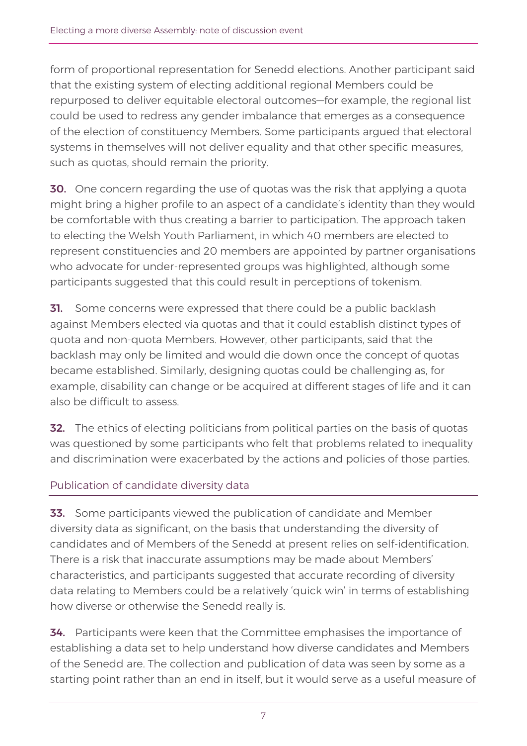form of proportional representation for Senedd elections. Another participant said that the existing system of electing additional regional Members could be repurposed to deliver equitable electoral outcomes—for example, the regional list could be used to redress any gender imbalance that emerges as a consequence of the election of constituency Members. Some participants argued that electoral systems in themselves will not deliver equality and that other specific measures, such as quotas, should remain the priority.

**30.** One concern regarding the use of quotas was the risk that applying a quota might bring a higher profile to an aspect of a candidate's identity than they would be comfortable with thus creating a barrier to participation. The approach taken to electing the Welsh Youth Parliament, in which 40 members are elected to represent constituencies and 20 members are appointed by partner organisations who advocate for under-represented groups was highlighted, although some participants suggested that this could result in perceptions of tokenism.

**31.** Some concerns were expressed that there could be a public backlash against Members elected via quotas and that it could establish distinct types of quota and non-quota Members. However, other participants, said that the backlash may only be limited and would die down once the concept of quotas became established. Similarly, designing quotas could be challenging as, for example, disability can change or be acquired at different stages of life and it can also be difficult to assess.

**32.** The ethics of electing politicians from political parties on the basis of quotas was questioned by some participants who felt that problems related to inequality and discrimination were exacerbated by the actions and policies of those parties.

## Publication of candidate diversity data

33. Some participants viewed the publication of candidate and Member diversity data as significant, on the basis that understanding the diversity of candidates and of Members of the Senedd at present relies on self-identification. There is a risk that inaccurate assumptions may be made about Members' characteristics, and participants suggested that accurate recording of diversity data relating to Members could be a relatively 'quick win' in terms of establishing how diverse or otherwise the Senedd really is.

**34.** Participants were keen that the Committee emphasises the importance of establishing a data set to help understand how diverse candidates and Members of the Senedd are. The collection and publication of data was seen by some as a starting point rather than an end in itself, but it would serve as a useful measure of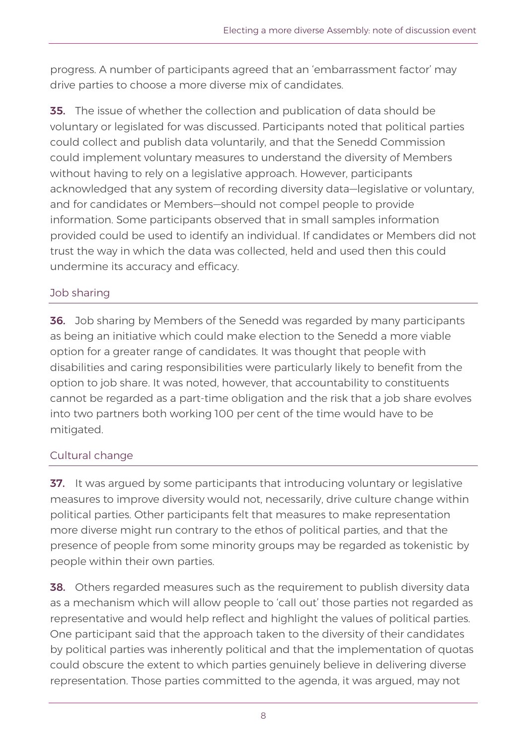progress. A number of participants agreed that an 'embarrassment factor' may drive parties to choose a more diverse mix of candidates.

**35.** The issue of whether the collection and publication of data should be voluntary or legislated for was discussed. Participants noted that political parties could collect and publish data voluntarily, and that the Senedd Commission could implement voluntary measures to understand the diversity of Members without having to rely on a legislative approach. However, participants acknowledged that any system of recording diversity data—legislative or voluntary, and for candidates or Members—should not compel people to provide information. Some participants observed that in small samples information provided could be used to identify an individual. If candidates or Members did not trust the way in which the data was collected, held and used then this could undermine its accuracy and efficacy.

### Job sharing

**36.** Job sharing by Members of the Senedd was regarded by many participants as being an initiative which could make election to the Senedd a more viable option for a greater range of candidates. It was thought that people with disabilities and caring responsibilities were particularly likely to benefit from the option to job share. It was noted, however, that accountability to constituents cannot be regarded as a part-time obligation and the risk that a job share evolves into two partners both working 100 per cent of the time would have to be mitigated.

#### Cultural change

**37.** It was argued by some participants that introducing voluntary or legislative measures to improve diversity would not, necessarily, drive culture change within political parties. Other participants felt that measures to make representation more diverse might run contrary to the ethos of political parties, and that the presence of people from some minority groups may be regarded as tokenistic by people within their own parties.

**38.** Others regarded measures such as the requirement to publish diversity data as a mechanism which will allow people to 'call out' those parties not regarded as representative and would help reflect and highlight the values of political parties. One participant said that the approach taken to the diversity of their candidates by political parties was inherently political and that the implementation of quotas could obscure the extent to which parties genuinely believe in delivering diverse representation. Those parties committed to the agenda, it was argued, may not